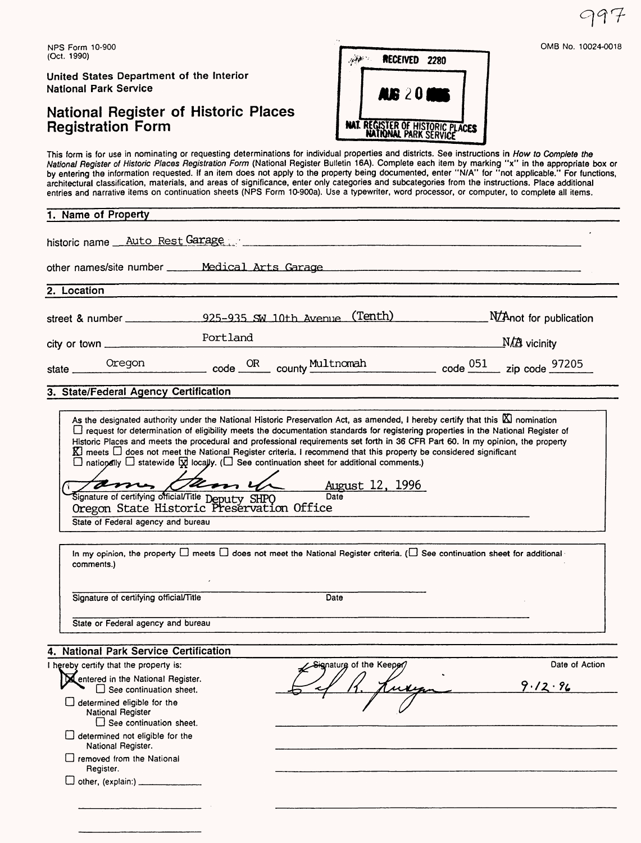NPS Form 10-900 (Oct. 1990)

United States Department of the Interior National Park Service

D removed from the National

Register.  $\square$  other, (explain:)  $\square$ 

### National Register of Historic Places Registration Form



This form is for use in nominating or requesting determinations for individual properties and districts. See instructions in How to Complete the National Register of Historic Places Registration Form (National Register Bulletin 16A). Complete each item by marking "x" in the appropriate box or by entering the information requested. If an item does not apply to the property being documented, enter "N/A" for "not applicable." For functions, architectural classification, materials, and areas of significance, enter only categories and subcategories from the instructions. Place additional entries and narrative items on continuation sheets (NPS Form 10-900a). Use a typewriter, word processor, or computer, to complete all items.

| 1. Name of Property                                                                                                                                                                                                                                                         |          |                                                                                                                                                                                                                                                                                                                                                                                                                                                                                                                                                                                                                                                                                                                                                                                                                                                                            |       |                           |
|-----------------------------------------------------------------------------------------------------------------------------------------------------------------------------------------------------------------------------------------------------------------------------|----------|----------------------------------------------------------------------------------------------------------------------------------------------------------------------------------------------------------------------------------------------------------------------------------------------------------------------------------------------------------------------------------------------------------------------------------------------------------------------------------------------------------------------------------------------------------------------------------------------------------------------------------------------------------------------------------------------------------------------------------------------------------------------------------------------------------------------------------------------------------------------------|-------|---------------------------|
| historic name Auto Rest Garage                                                                                                                                                                                                                                              |          |                                                                                                                                                                                                                                                                                                                                                                                                                                                                                                                                                                                                                                                                                                                                                                                                                                                                            |       |                           |
| other names/site number _____ Medical Arts Garage                                                                                                                                                                                                                           |          |                                                                                                                                                                                                                                                                                                                                                                                                                                                                                                                                                                                                                                                                                                                                                                                                                                                                            |       |                           |
| 2. Location                                                                                                                                                                                                                                                                 |          |                                                                                                                                                                                                                                                                                                                                                                                                                                                                                                                                                                                                                                                                                                                                                                                                                                                                            |       |                           |
| street & number $925-935$ SW 10th Avenue (Tenth) MAnot for publication                                                                                                                                                                                                      |          |                                                                                                                                                                                                                                                                                                                                                                                                                                                                                                                                                                                                                                                                                                                                                                                                                                                                            |       |                           |
| $city$ or town $\_\_$                                                                                                                                                                                                                                                       | Portland |                                                                                                                                                                                                                                                                                                                                                                                                                                                                                                                                                                                                                                                                                                                                                                                                                                                                            |       | $M\rightarrow$ vicinity   |
| Oregon<br>state.                                                                                                                                                                                                                                                            |          | code <u>OR</u> county Multnomah code 051 zip code 97205                                                                                                                                                                                                                                                                                                                                                                                                                                                                                                                                                                                                                                                                                                                                                                                                                    |       |                           |
| 3. State/Federal Agency Certification                                                                                                                                                                                                                                       |          |                                                                                                                                                                                                                                                                                                                                                                                                                                                                                                                                                                                                                                                                                                                                                                                                                                                                            |       |                           |
| Signature of certifying official/Title Deputy SHPO Da<br>Oregon State Historic Preservation Office<br>State of Federal agency and bureau<br>comments.)                                                                                                                      |          | As the designated authority under the National Historic Preservation Act, as amended, I hereby certify that this $\boxtimes$ nomination<br>□ request for determination of eligibility meets the documentation standards for registering properties in the National Register of<br>Historic Places and meets the procedural and professional requirements set forth in 36 CFR Part 60. In my opinion, the property<br>$\mathbb K$ meets $\Box$ does not meet the National Register criteria. I recommend that this property be considered significant<br>$\Box$ nationally $\Box$ statewide $\boxtimes$ locally. ( $\Box$ See continuation sheet for additional comments.)<br>Gamela August 12, 1996<br>Data <sub>1</sub><br>In my opinion, the property $\Box$ meets $\Box$ does not meet the National Register criteria. ( $\Box$ See continuation sheet for additional - |       |                           |
| Signature of certifying official/Title                                                                                                                                                                                                                                      |          | Date                                                                                                                                                                                                                                                                                                                                                                                                                                                                                                                                                                                                                                                                                                                                                                                                                                                                       |       |                           |
| State or Federal agency and bureau                                                                                                                                                                                                                                          |          |                                                                                                                                                                                                                                                                                                                                                                                                                                                                                                                                                                                                                                                                                                                                                                                                                                                                            |       |                           |
| 4. National Park Service Certification                                                                                                                                                                                                                                      |          |                                                                                                                                                                                                                                                                                                                                                                                                                                                                                                                                                                                                                                                                                                                                                                                                                                                                            |       |                           |
| I hereby certify that the property is:<br>Rentered in the National Register.<br>$\Box$ See continuation sheet.<br>$\Box$ determined eligible for the<br>National Register<br>$\Box$ See continuation sheet.<br>$\Box$ determined not eligible for the<br>National Register. |          | Signature of the Keeper/                                                                                                                                                                                                                                                                                                                                                                                                                                                                                                                                                                                                                                                                                                                                                                                                                                                   | Kuren | Date of Action<br>9.12.96 |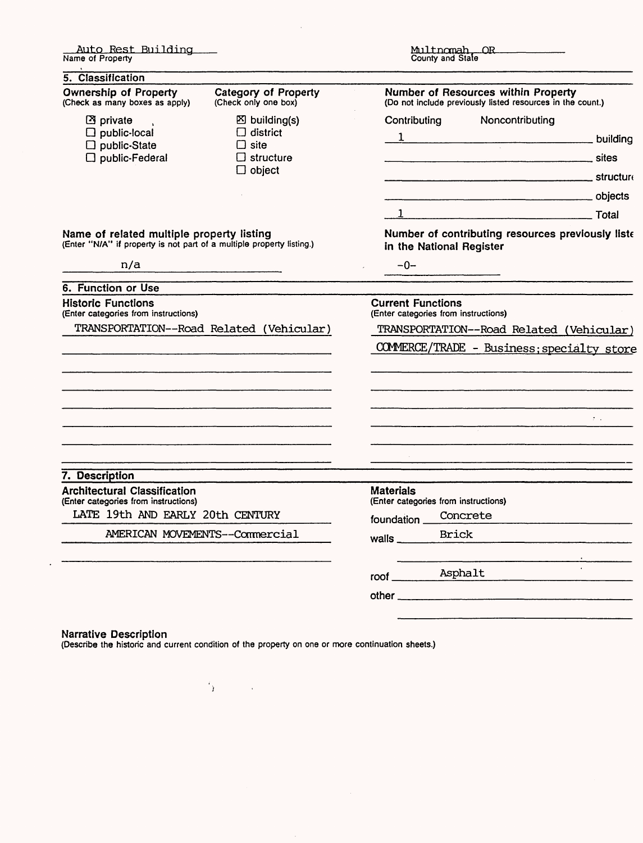| <u>Auto Rest Building —</u><br>Name of Property                                                                    |                                                                               | Multnomah, OR<br>County and State                                |                          |                                                                                                   |                                                   |
|--------------------------------------------------------------------------------------------------------------------|-------------------------------------------------------------------------------|------------------------------------------------------------------|--------------------------|---------------------------------------------------------------------------------------------------|---------------------------------------------------|
| 5. Classification                                                                                                  |                                                                               |                                                                  |                          |                                                                                                   |                                                   |
| <b>Ownership of Property</b><br>(Check as many boxes as apply)                                                     | Category of Property<br>(Check only one box)                                  |                                                                  |                          | Number of Resources within Property<br>(Do not include previously listed resources in the count.) |                                                   |
| <b>图</b> private<br>$\Box$ public-local<br>$\square$ public-State<br>$\Box$ public-Federal                         | $\boxtimes$ building(s)<br>$\Box$ district<br>$\Box$ site<br>$\Box$ structure | Contributing                                                     |                          | Noncontributing                                                                                   | $1$ building                                      |
|                                                                                                                    | $\Box$ object                                                                 |                                                                  |                          |                                                                                                   |                                                   |
|                                                                                                                    |                                                                               |                                                                  |                          |                                                                                                   |                                                   |
|                                                                                                                    |                                                                               |                                                                  |                          | 1 Total                                                                                           |                                                   |
| Name of related multiple property listing<br>(Enter "N/A" if property is not part of a multiple property listing.) |                                                                               |                                                                  | in the National Register |                                                                                                   | Number of contributing resources previously liste |
| n/a                                                                                                                |                                                                               | $-0-$                                                            |                          |                                                                                                   |                                                   |
| 6. Function or Use                                                                                                 |                                                                               |                                                                  |                          |                                                                                                   |                                                   |
| <b>Historic Functions</b><br>(Enter categories from instructions)                                                  |                                                                               | <b>Current Functions</b><br>(Enter categories from instructions) |                          |                                                                                                   |                                                   |
| TRANSPORTATION--Road Related (Vehicular)                                                                           |                                                                               | TRANSPORTATION--Road Related (Vehicular)                         |                          |                                                                                                   |                                                   |
|                                                                                                                    |                                                                               |                                                                  |                          |                                                                                                   | COMMERCE/TRADE - Business; specialty store        |
|                                                                                                                    |                                                                               |                                                                  |                          |                                                                                                   |                                                   |
|                                                                                                                    |                                                                               |                                                                  |                          |                                                                                                   | $\mathcal{D}(\mathcal{A},\mathcal{A})$            |
|                                                                                                                    |                                                                               |                                                                  |                          |                                                                                                   |                                                   |
| 7. Description                                                                                                     |                                                                               |                                                                  |                          |                                                                                                   |                                                   |
| <b>Architectural Classification</b><br>(Enter categories from instructions)                                        |                                                                               | <b>Materials</b><br>(Enter categories from instructions)         |                          |                                                                                                   |                                                   |
| LATE 19th AND EARLY 20th CENTURY                                                                                   |                                                                               | foundation Concrete                                              |                          |                                                                                                   |                                                   |
| AMERICAN MOVEMENTS--Commercial                                                                                     |                                                                               | walls $\qquad$                                                   | Brick                    |                                                                                                   |                                                   |
|                                                                                                                    |                                                                               | roof _________ Asphalt                                           |                          |                                                                                                   |                                                   |
|                                                                                                                    |                                                                               |                                                                  |                          |                                                                                                   |                                                   |
|                                                                                                                    |                                                                               |                                                                  |                          |                                                                                                   |                                                   |
|                                                                                                                    |                                                                               |                                                                  |                          |                                                                                                   |                                                   |

 $\bar{\mathcal{A}}$ 

#### Narrative Description

 $\bar{\mathcal{A}}$ 

(Describe the historic and current condition of the property on one or more continuation sheets.)

 $\mathcal{A}^{\mathcal{A}}$ 

 $\alpha_{\rm F}$  and  $\alpha_{\rm F}$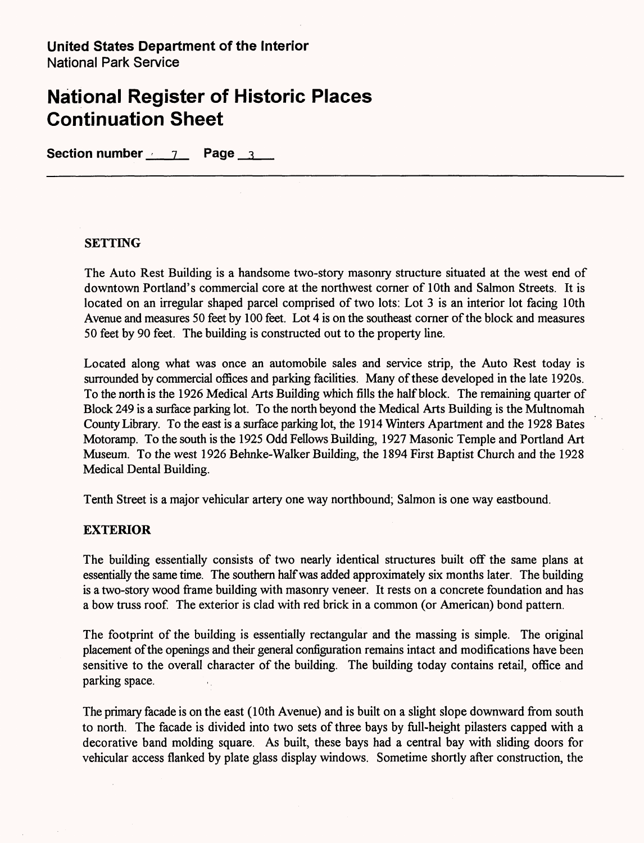**Section number** 7 **Page** 3

### **SETTING**

The Auto Rest Building is a handsome two-story masonry structure situated at the west end of downtown Portland's commercial core at the northwest corner of 10th and Salmon Streets. It is located on an irregular shaped parcel comprised of two lots: Lot 3 is an interior lot facing 10th Avenue and measures 50 feet by 100 feet. Lot 4 is on the southeast corner of the block and measures 50 feet by 90 feet. The building is constructed out to the property line.

Located along what was once an automobile sales and service strip, the Auto Rest today is surrounded by commercial offices and parking facilities. Many of these developed in the late 1920s. To the north is the 1926 Medical Arts Building which fills the half block. The remaining quarter of Block 249 is a surface parking lot. To the north beyond the Medical Arts Building is the Multnomah County Library. To the east is a surface parking lot, the 1914 Winters Apartment and the 1928 Bates Motoramp. To the south is the 1925 Odd Fellows Building, 1927 Masonic Temple and Portland Art Museum. To the west 1926 Behnke-Walker Building, the 1894 First Baptist Church and the 1928 Medical Dental Building.

Tenth Street is a major vehicular artery one way northbound; Salmon is one way eastbound.

### **EXTERIOR**

The building essentially consists of two nearly identical structures built off the same plans at essentially the same time. The southern half was added approximately six months later. The building is a two-story wood frame building with masonry veneer. It rests on a concrete foundation and has a bow truss roof. The exterior is clad with red brick in a common (or American) bond pattern.

The footprint of the building is essentially rectangular and the massing is simple. The original placement of the openings and their general configuration remains intact and modifications have been sensitive to the overall character of the building. The building today contains retail, office and parking space.

The primary facade is on the east (10th Avenue) and is built on a slight slope downward from south to north. The facade is divided into two sets of three bays by full-height pilasters capped with a decorative band molding square. As built, these bays had a central bay with sliding doors for vehicular access flanked by plate glass display windows. Sometime shortly after construction, the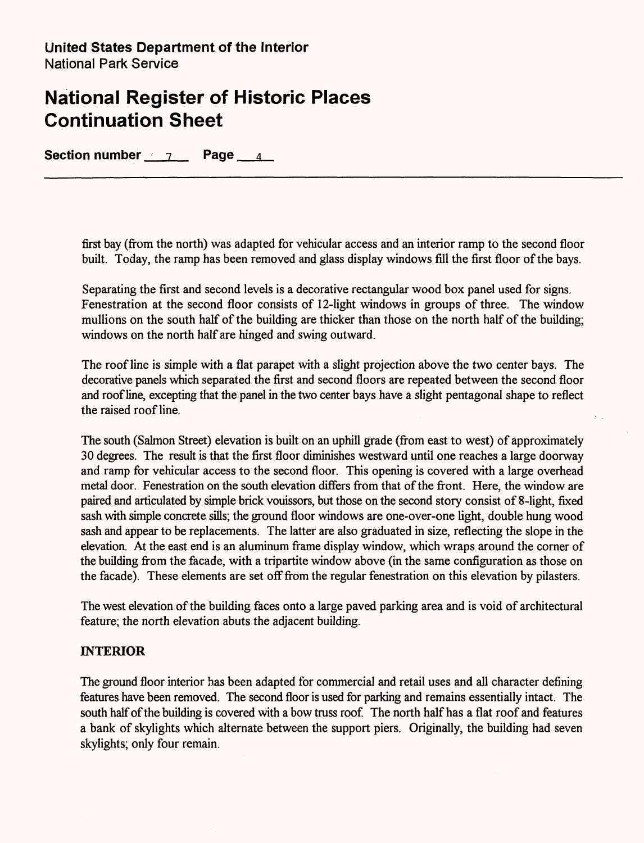Section number 7 Page 4

first bay (from the north) was adapted for vehicular access and an interior ramp to the second floor built. Today, the ramp has been removed and glass display windows fill the first floor of the bays.

Separating the first and second levels is a decorative rectangular wood box panel used for signs. Fenestration at the second floor consists of 12-light windows in groups of three. The window mullions on the south half of the building are thicker than those on the north half of the building; windows on the north half are hinged and swing outward.

The roof line is simple with a flat parapet with a slight projection above the two center bays. The decorative panels which separated the first and second floors are repeated between the second floor and roof line, excepting that the panel in the two center bays have a slight pentagonal shape to reflect the raised roof line.

The south (Salmon Street) elevation is built on an uphill grade (from east to west) of approximately 30 degrees. The result is that the first floor diminishes westward until one reaches a large doorway and ramp for vehicular access to the second floor. This opening is covered with a large overhead metal door. Fenestration on the south elevation differs from that of the front. Here, the window are paired and articulated by simple brick vouissors, but those on the second story consist of 8-light, fixed sash with simple concrete sills; the ground floor windows are one-over-one light, double hung wood sash and appear to be replacements. The latter are also graduated in size, reflecting the slope in the elevation. At the east end is an aluminum frame display window, which wraps around the corner of the building from the facade, with a tripartite window above (in the same configuration as those on the facade). These elements are set off from the regular fenestration on this elevation by pilasters.

The west elevation of the building faces onto a large paved parking area and is void of architectural feature; the north elevation abuts the adjacent building.

### **INTERIOR**

The ground floor interior has been adapted for commercial and retail uses and all character defining features have been removed. The second floor is used for parking and remains essentially intact. The south half of the building is covered with a bow truss roof. The north half has a flat roof and features a bank of skylights which alternate between the support piers. Originally, the building had seven skylights; only four remain.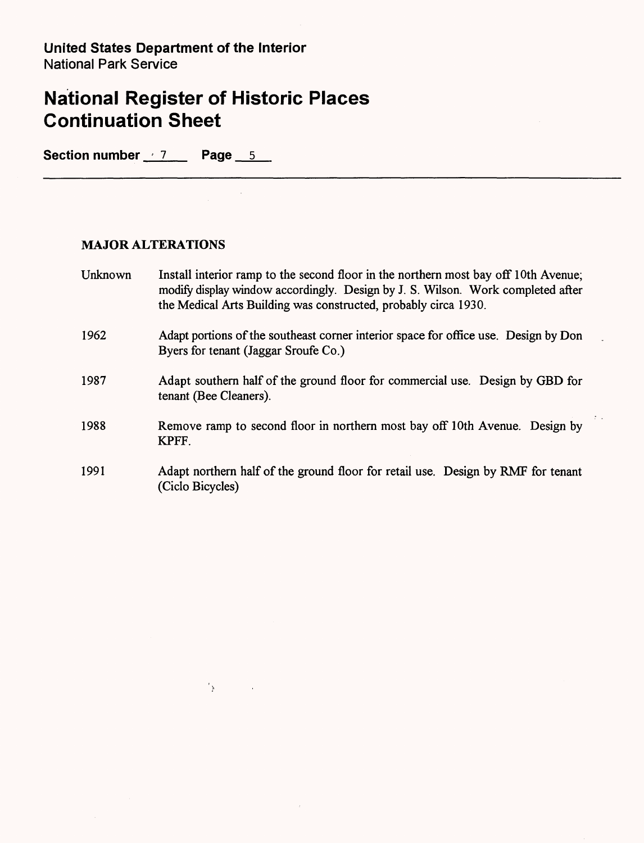$\sum_{i=1}^n \sum_{j=1}^n \frac{1}{j} \sum_{j=1}^n \frac{1}{j} \sum_{j=1}^n \frac{1}{j} \sum_{j=1}^n \frac{1}{j} \sum_{j=1}^n \frac{1}{j} \sum_{j=1}^n \frac{1}{j} \sum_{j=1}^n \frac{1}{j} \sum_{j=1}^n \frac{1}{j} \sum_{j=1}^n \frac{1}{j} \sum_{j=1}^n \frac{1}{j} \sum_{j=1}^n \frac{1}{j} \sum_{j=1}^n \frac{1}{j} \sum_{j=1}^n \frac{1}{j} \sum_{$ 

Section number 7 Page 5

### **MAJOR ALTERATIONS**

| Unknown | Install interior ramp to the second floor in the northern most bay off 10th Avenue;<br>modify display window accordingly. Design by J. S. Wilson. Work completed after<br>the Medical Arts Building was constructed, probably circa 1930. |
|---------|-------------------------------------------------------------------------------------------------------------------------------------------------------------------------------------------------------------------------------------------|
| 1962    | Adapt portions of the southeast corner interior space for office use. Design by Don<br>Byers for tenant (Jaggar Sroufe Co.)                                                                                                               |
| 1987    | Adapt southern half of the ground floor for commercial use. Design by GBD for<br>tenant (Bee Cleaners).                                                                                                                                   |
| 1988    | Remove ramp to second floor in northern most bay off 10th Avenue. Design by<br>KPFF.                                                                                                                                                      |
| 1991    | Adapt northern half of the ground floor for retail use. Design by RMF for tenant<br>(Ciclo Bicycles)                                                                                                                                      |

 $\tau$  .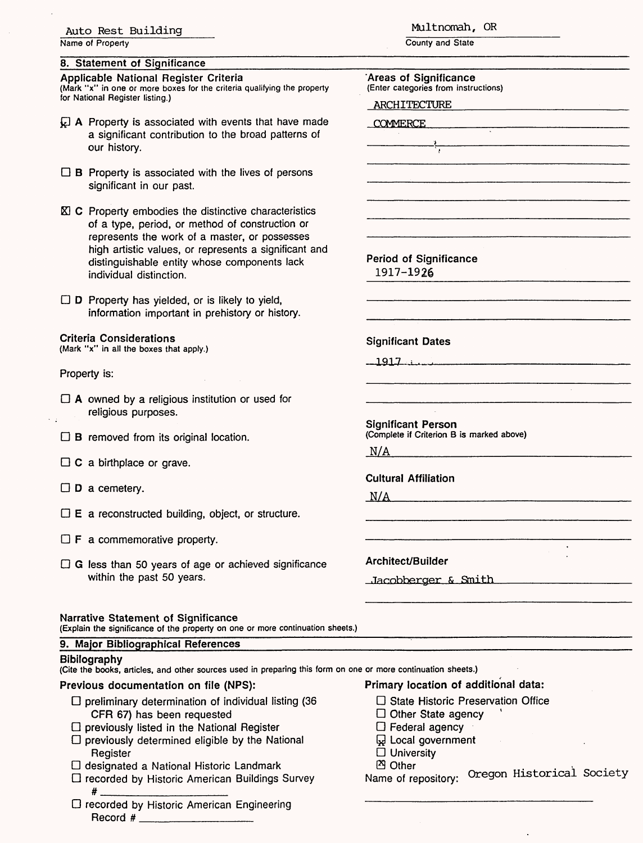#### Auto Rest Building

Name of Property

#### 8. Statement of Significance

#### Applicable National Register Criteria

(Mark "x" in one or more boxes for the criteria qualifying for National Register listing.)

- $\overline{\mathcal{L}}$  A Property is associated with events that a significant contribution to the broad pa our history.
- $\Box$  B Property is associated with the lives of significant in our past.
- $X \subset \mathbb{C}$  Property embodies the distinctive characteristics of a type, period, or method of construction represents the work of a master, or pos high artistic values, or represents a sign distinguishable entity whose components individual distinction.

 $\Box$  D Property has yielded, or is likely to yield information important in prehistory or his

#### Criteria Considerations (Mark "x" in all the boxes that apply.)

#### Property is:

- $\Box$  A owned by a religious institution or used religious purposes.
- $\square$  B removed from its original location.
- $\Box$  C a birthplace or grave.
- $\square$  D a cemetery.
- $\square$  E a reconstructed building, object, or struc
- $\Box$  **F** a commemorative property.
- $\Box$  G less than 50 years of age or achieved s within the past 50 years.

#### Narrative Statement of Significance

(Explain the significance of the property on one or more

#### 9. Major Bibliographical References

#### Bibliography

#.

(Cite the books, articles, and other sources used in prep

#### Previous documentation on file (NPS):

- $\Box$  preliminary determination of individual list CFR 67) has been requested
- $\square$  previously listed in the National Register
- $\square$  previously determined eligible by the Na **Register**
- D designated a National Historic Landmark
- D recorded by Historic American Buildings Survey

D recorded by Historic American Engineering Record #

Multnomah, OR

County and State

| the property            | 'Areas of Significance<br>(Enter categories from instructions)                    |  |  |  |  |
|-------------------------|-----------------------------------------------------------------------------------|--|--|--|--|
|                         | ARCHITECTURE                                                                      |  |  |  |  |
| have made<br>atterns of | COMMERCE                                                                          |  |  |  |  |
|                         | ÷                                                                                 |  |  |  |  |
|                         |                                                                                   |  |  |  |  |
| persons                 |                                                                                   |  |  |  |  |
| cteristics<br>tion or:  |                                                                                   |  |  |  |  |
| sesses                  |                                                                                   |  |  |  |  |
| iificant and<br>s lack  | <b>Period of Significance</b><br>1917-1926                                        |  |  |  |  |
|                         |                                                                                   |  |  |  |  |
| story.                  |                                                                                   |  |  |  |  |
|                         | <b>Significant Dates</b>                                                          |  |  |  |  |
|                         |                                                                                   |  |  |  |  |
|                         |                                                                                   |  |  |  |  |
| for                     |                                                                                   |  |  |  |  |
|                         | <b>Significant Person</b><br>(Complete if Criterion B is marked above)            |  |  |  |  |
|                         | N/A                                                                               |  |  |  |  |
|                         | <b>Cultural Affiliation</b>                                                       |  |  |  |  |
|                         | N/A                                                                               |  |  |  |  |
| ture.                   |                                                                                   |  |  |  |  |
|                         |                                                                                   |  |  |  |  |
| ignificance             | Architect/Builder                                                                 |  |  |  |  |
|                         | Jacobberger & Smith                                                               |  |  |  |  |
|                         |                                                                                   |  |  |  |  |
|                         |                                                                                   |  |  |  |  |
| continuation sheets.)   |                                                                                   |  |  |  |  |
|                         |                                                                                   |  |  |  |  |
|                         | aring this form on one or more continuation sheets.)                              |  |  |  |  |
| sting (36               | Primary location of additional data:<br>$\Box$ State Historic Preservation Office |  |  |  |  |
|                         | $\Box$ Other State agency                                                         |  |  |  |  |
| tional                  | $\Box$ Federal agency                                                             |  |  |  |  |
|                         | <b>W</b> Local government<br>$\Box$ University                                    |  |  |  |  |
| (<br>Suntav             | <b>图 Other</b><br>Name of repository. Oregon Historical Society                   |  |  |  |  |
|                         |                                                                                   |  |  |  |  |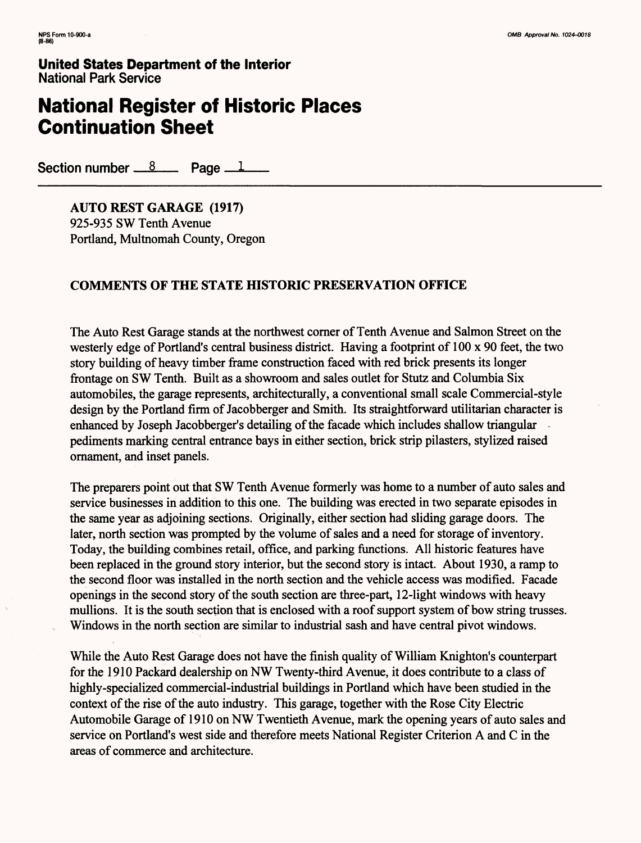## **National Register of Historic Places Continuation Sheet**

Section number  $\frac{8}{2}$  Page  $\frac{1}{2}$ 

**AUTO REST GARAGE (1917)** 925-935 SW Tenth Avenue Portland, Multnomah County, Oregon

### **COMMENTS OF THE STATE HISTORIC PRESERVATION OFFICE**

The Auto Rest Garage stands at the northwest corner of Tenth Avenue and Salmon Street on the westerly edge of Portland's central business district. Having a footprint of 100 x 90 feet, the two story building of heavy timber frame construction faced with red brick presents its longer frontage on SW Tenth. Built as a showroom and sales outlet for Stutz and Columbia Six automobiles, the garage represents, architecturally, a conventional small scale Commercial-style design by the Portland firm of Jacobberger and Smith. Its straightforward utilitarian character is enhanced by Joseph Jacobberger's detailing of the facade which includes shallow triangular pediments marking central entrance bays in either section, brick strip pilasters, stylized raised ornament, and inset panels.

The preparers point out that SW Tenth Avenue formerly was home to a number of auto sales and service businesses in addition to this one. The building was erected in two separate episodes in the same year as adjoining sections. Originally, either section had sliding garage doors. The later, north section was prompted by the volume of sales and a need for storage of inventory. Today, the building combines retail, office, and parking functions. All historic features have been replaced in the ground story interior, but the second story is intact. About 1930, a ramp to the second floor was installed in the north section and the vehicle access was modified. Facade openings in the second story of the south section are three-part, 12-light windows with heavy mullions. It is the south section that is enclosed with a roof support system of bow string trusses. Windows in the north section are similar to industrial sash and have central pivot windows.

While the Auto Rest Garage does not have the finish quality of William Knighton's counterpart for the 1910 Packard dealership on NW Twenty-third Avenue, it does contribute to a class of highly-specialized commercial-industrial buildings in Portland which have been studied in the context of the rise of the auto industry. This garage, together with the Rose City Electric Automobile Garage of 1910 on NW Twentieth Avenue, mark the opening years of auto sales and service on Portland's west side and therefore meets National Register Criterion A and C in the areas of commerce and architecture.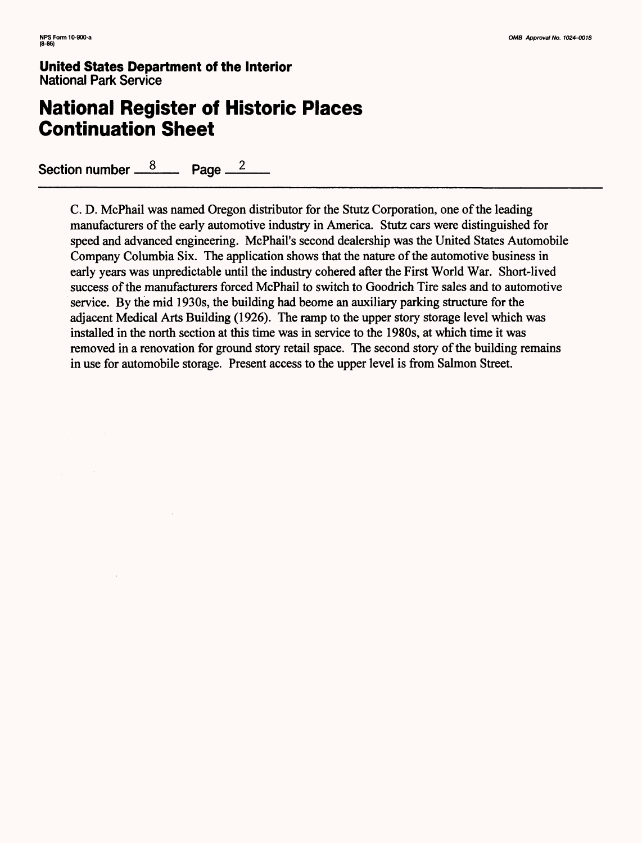## **National Register of Historic Places Continuation Sheet**

Section number  $\frac{8}{2}$  Page  $\frac{2}{2}$ 

C. D. McPhail was named Oregon distributor for the Stutz Corporation, one of the leading manufacturers of the early automotive industry in America. Stutz cars were distinguished for speed and advanced engineering. McPhail's second dealership was the United States Automobile Company Columbia Six. The application shows that the nature of the automotive business in early years was unpredictable until the industry cohered after the First World War. Short-lived success of the manufacturers forced McPhail to switch to Goodrich Tire sales and to automotive service. By the mid 1930s, the building had beome an auxiliary parking structure for the adjacent Medical Arts Building (1926). The ramp to the upper story storage level which was installed in the north section at this time was in service to the 1980s, at which time it was removed in a renovation for ground story retail space. The second story of the building remains in use for automobile storage. Present access to the upper level is from Salmon Street.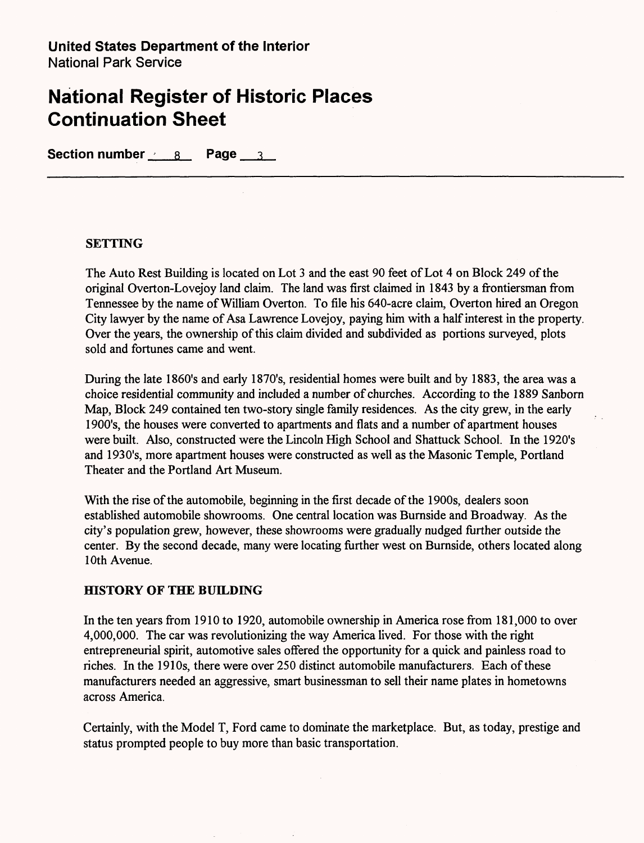**Section number** 8 **Page** 3

### **SETTING**

The Auto Rest Building is located on Lot 3 and the east 90 feet of Lot 4 on Block 249 of the original Overton-Lovejoy land claim. The land was first claimed in 1843 by a frontiersman from Tennessee by the name of William Overton. To file his 640-acre claim, Overton hired an Oregon City lawyer by the name of Asa Lawrence Lovejoy, paying him with a half interest in the property. Over the years, the ownership of this claim divided and subdivided as portions surveyed, plots sold and fortunes came and went.

During the late 1860's and early 1870's, residential homes were built and by 1883, the area was a choice residential community and included a number of churches. According to the 1889 Sanborn Map, Block 249 contained ten two-story single family residences. As the city grew, in the early 1900's, the houses were converted to apartments and flats and a number of apartment houses were built. Also, constructed were the Lincoln High School and Shattuck School. In the 1920's and 1930's, more apartment houses were constructed as well as the Masonic Temple, Portland Theater and the Portland Art Museum.

With the rise of the automobile, beginning in the first decade of the 1900s, dealers soon established automobile showrooms. One central location was Burnside and Broadway. As the city's population grew, however, these showrooms were gradually nudged further outside the center. By the second decade, many were locating further west on Burnside, others located along 10th Avenue.

### **HISTORY OF THE BUILDING**

In the ten years from 1910 to 1920, automobile ownership in America rose from 181,000 to over 4,000,000. The car was revolutionizing the way America lived. For those with the right entrepreneurial spirit, automotive sales offered the opportunity for a quick and painless road to riches. In the 1910s, there were over 250 distinct automobile manufacturers. Each of these manufacturers needed an aggressive, smart businessman to sell their name plates in hometowns across America.

Certainly, with the Model T, Ford came to dominate the marketplace. But, as today, prestige and status prompted people to buy more than basic transportation.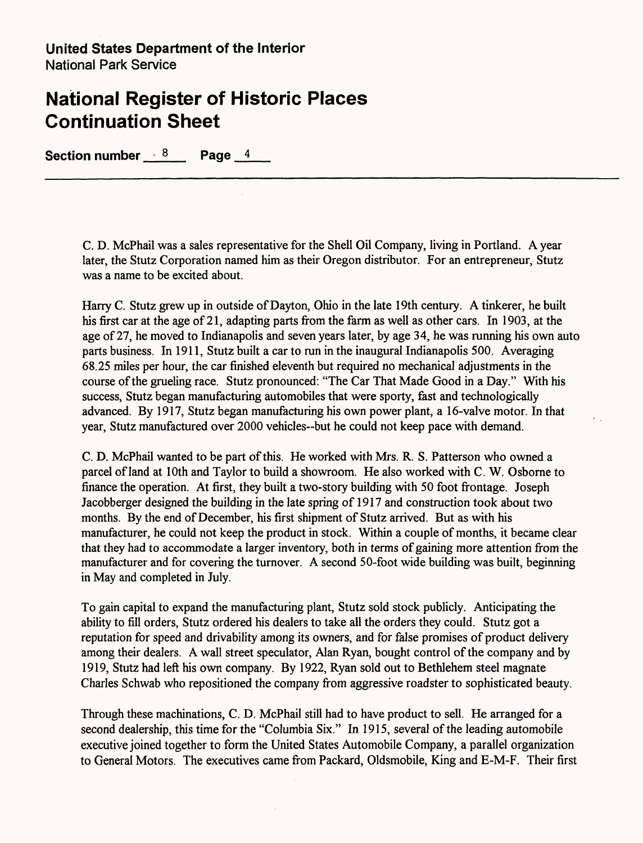**Section number - 8 Page 4**

C. D. McPhail was a sales representative for the Shell Oil Company, living in Portland. A year later, the Stutz Corporation named him as their Oregon distributor. For an entrepreneur, Stutz was a name to be excited about.

Harry C. Stutz grew up in outside of Dayton, Ohio in the late 19th century. A tinkerer, he built his first car at the age of 21, adapting parts from the farm as well as other cars. In 1903, at the age of 27, he moved to Indianapolis and seven years later, by age 34, he was running his own auto parts business. In 1911, Stutz built a car to run in the inaugural Indianapolis 500. Averaging 68.25 miles per hour, the car finished eleventh but required no mechanical adjustments in the course of the grueling race. Stutz pronounced: "The Car That Made Good in a Day." With his success, Stutz began manufacturing automobiles that were sporty, fast and technologically advanced. By 1917, Stutz began manufacturing his own power plant, a 16-valve motor. In that year, Stutz manufactured over 2000 vehicles—but he could not keep pace with demand.

C. D. McPhail wanted to be part of this. He worked with Mrs. R. S. Patterson who owned a parcel of land at 10th and Taylor to build a showroom. He also worked with C. W. Osborne to finance the operation. At first, they built a two-story building with 50 foot frontage. Joseph Jacobberger designed the building in the late spring of 1917 and construction took about two months. By the end of December, his first shipment of Stutz arrived. But as with his manufacturer, he could not keep the product in stock. Within a couple of months, it became clear that they had to accommodate a larger inventory, both in terms of gaining more attention from the manufacturer and for covering the turnover. A second 50-foot wide building was built, beginning in May and completed in July.

To gain capital to expand the manufacturing plant, Stutz sold stock publicly. Anticipating the ability to fill orders, Stutz ordered his dealers to take all the orders they could. Stutz got a reputation for speed and drivability among its owners, and for false promises of product delivery among their dealers. A wall street speculator, Alan Ryan, bought control of the company and by 1919, Stutz had left his own company. By 1922, Ryan sold out to Bethlehem steel magnate Charles Schwab who repositioned the company from aggressive roadster to sophisticated beauty.

Through these machinations, C. D. McPhail still had to have product to sell. He arranged for a second dealership, this time for the "Columbia Six." In 1915, several of the leading automobile executive joined together to form the United States Automobile Company, a parallel organization to General Motors. The executives came from Packard, Oldsmobile, King and E-M-F. Their first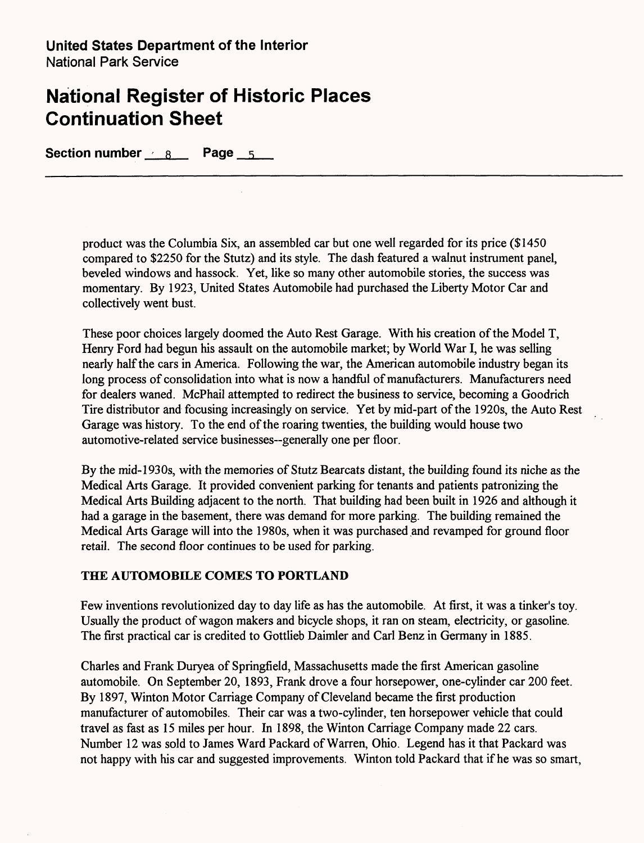**Section number - a Page 5** 

product was the Columbia Six, an assembled car but one well regarded for its price (\$1450 compared to \$2250 for the Stutz) and its style. The dash featured a walnut instrument panel, beveled windows and hassock. Yet, like so many other automobile stories, the success was momentary. By 1923, United States Automobile had purchased the Liberty Motor Car and collectively went bust.

These poor choices largely doomed the Auto Rest Garage. With his creation of the Model T, Henry Ford had begun his assault on the automobile market; by World War I, he was selling nearly half the cars in America. Following the war, the American automobile industry began its long process of consolidation into what is now a handful of manufacturers. Manufacturers need for dealers waned. McPhail attempted to redirect the business to service, becoming a Goodrich Tire distributor and focusing increasingly on service. Yet by mid-part of the 1920s, the Auto Rest Garage was history. To the end of the roaring twenties, the building would house two automotive-related service businesses—generally one per floor.

By the mid-1930s, with the memories of Stutz Bearcats distant, the building found its niche as the Medical Arts Garage. It provided convenient parking for tenants and patients patronizing the Medical Arts Building adjacent to the north. That building had been built in 1926 and although it had a garage in the basement, there was demand for more parking. The building remained the Medical Arts Garage will into the 1980s, when it was purchased and revamped for ground floor retail. The second floor continues to be used for parking.

### **THE AUTOMOBILE COMES TO PORTLAND**

Few inventions revolutionized day to day life as has the automobile. At first, it was a tinker's toy. Usually the product of wagon makers and bicycle shops, it ran on steam, electricity, or gasoline. The first practical car is credited to Gottlieb Daimler and Carl Benz in Germany in 1885.

Charles and Frank Duryea of Springfield, Massachusetts made the first American gasoline automobile. On September 20, 1893, Frank drove a four horsepower, one-cylinder car 200 feet. By 1897, Winton Motor Carriage Company of Cleveland became the first production manufacturer of automobiles. Their car was a two-cylinder, ten horsepower vehicle that could travel as fast as 15 miles per hour. In 1898, the Winton Carriage Company made 22 cars. Number 12 was sold to James Ward Packard of Warren, Ohio. Legend has it that Packard was not happy with his car and suggested improvements. Winton told Packard that if he was so smart,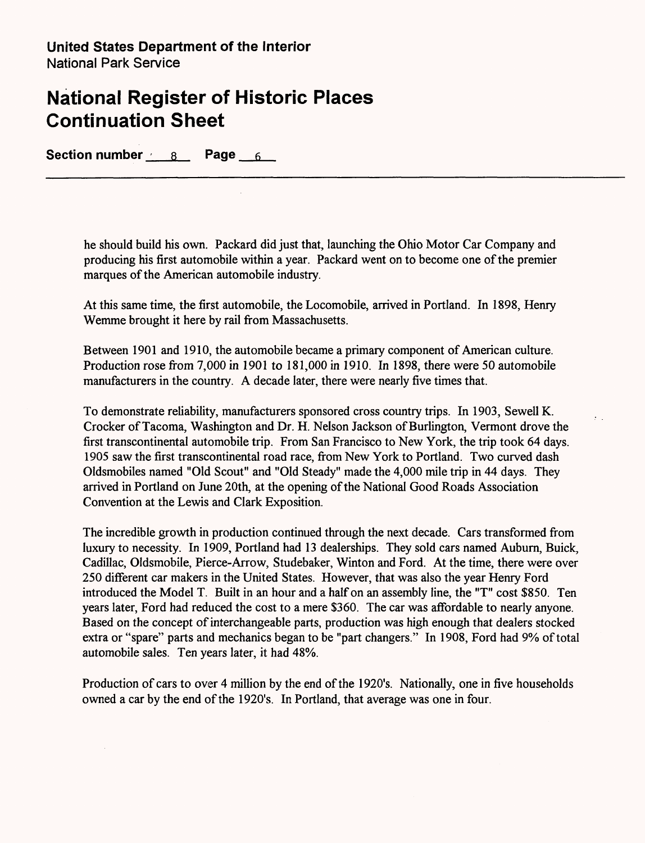**Section number 8 Page 6**

he should build his own. Packard did just that, launching the Ohio Motor Car Company and producing his first automobile within a year. Packard went on to become one of the premier marques of the American automobile industry.

At this same time, the first automobile, the Locomobile, arrived in Portland. In 1898, Henry Wemme brought it here by rail from Massachusetts.

Between 1901 and 1910, the automobile became a primary component of American culture. Production rose from 7,000 in 1901 to 181,000 in 1910. In 1898, there were 50 automobile manufacturers in the country. A decade later, there were nearly five times that.

To demonstrate reliability, manufacturers sponsored cross country trips. In 1903, Sewell K. Crocker of Tacoma, Washington and Dr. H. Nelson Jackson of Burlington, Vermont drove the first transcontinental automobile trip. From San Francisco to New York, the trip took 64 days. 1905 saw the first transcontinental road race, from New York to Portland. Two curved dash Oldsmobiles named "Old Scout" and "Old Steady" made the 4,000 mile trip in 44 days. They arrived in Portland on June 20th, at the opening of the National Good Roads Association Convention at the Lewis and Clark Exposition.

 $\mathcal{L}$ 

The incredible growth in production continued through the next decade. Cars transformed from luxury to necessity. In 1909, Portland had 13 dealerships. They sold cars named Auburn, Buick, Cadillac, Oldsmobile, Pierce-Arrow, Studebaker, Winton and Ford. At the time, there were over 250 different car makers in the United States. However, that was also the year Henry Ford introduced the Model T. Built in an hour and a half on an assembly line, the "T" cost \$850. Ten years later, Ford had reduced the cost to a mere \$360. The car was affordable to nearly anyone. Based on the concept of interchangeable parts, production was high enough that dealers stocked extra or "spare" parts and mechanics began to be "part changers." In 1908, Ford had 9% of total automobile sales. Ten years later, it had 48%.

Production of cars to over 4 million by the end of the 1920's. Nationally, one in five households owned a car by the end of the 1920's. In Portland, that average was one in four.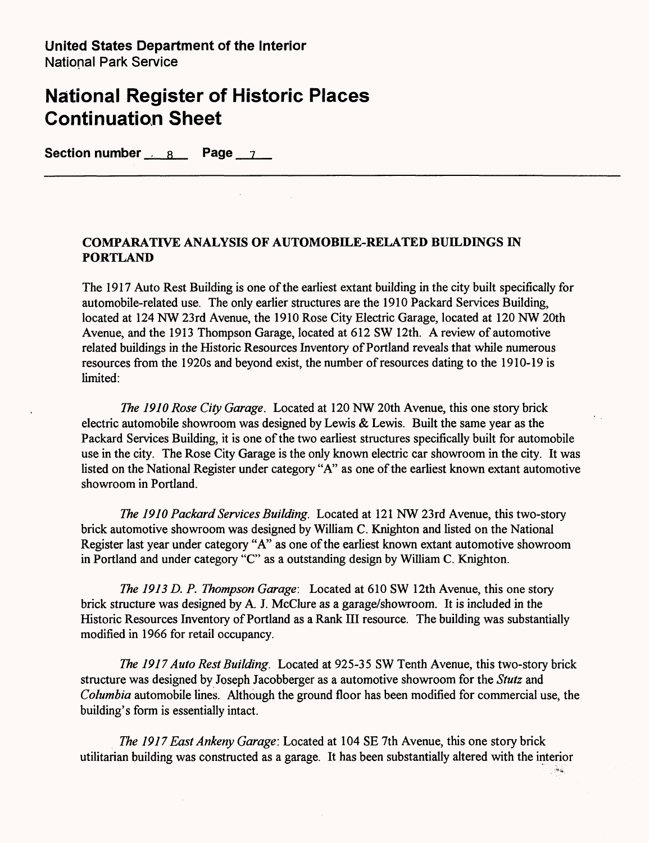Section number 8 **Page** 7

### **COMPARATIVE ANALYSIS OF AUTOMOBILE-RELATED BUILDINGS IN PORTLAND**

The 1917 Auto Rest Building is one of the earliest extant building in the city built specifically for automobile-related use. The only earlier structures are the 1910 Packard Services Building, located at 124 NW 23rd Avenue, the 1910 Rose City Electric Garage, located at 120 NW 20th Avenue, and the 1913 Thompson Garage, located at 612 SW 12th. A review of automotive related buildings in the Historic Resources Inventory of Portland reveals that while numerous resources from the 1920s and beyond exist, the number of resources dating to the 1910-19 is limited:

*The 1910 Rose City Garage.* Located at 120 NW 20th Avenue, this one story brick electric automobile showroom was designed by Lewis & Lewis. Built the same year as the Packard Services Building, it is one of the two earliest structures specifically built for automobile use in the city. The Rose City Garage is the only known electric car showroom in the city. It was listed on the National Register under category "A" as one of the earliest known extant automotive showroom in Portland.

*The 1910 Packard Services Building.* Located at 121 NW 23rd Avenue, this two-story brick automotive showroom was designed by William C. Knighton and listed on the National Register last year under category "A" as one of the earliest known extant automotive showroom in Portland and under category "C" as a outstanding design by William C. Knighton.

*The 1913 D. P. Thompson Garage:* Located at 610 SW 12th Avenue, this one story brick structure was designed by A. J. McClure as a garage/showroom. It is included in the Historic Resources Inventory of Portland as a Rank HI resource. The building was substantially modified in 1966 for retail occupancy.

*The 1917 Auto Rest Building.* Located at 925-35 SW Tenth Avenue, this two-story brick structure was designed by Joseph Jacobberger as a automotive showroom for the *Stutz* and *Columbia* automobile lines. Although the ground floor has been modified for commercial use, the building's form is essentially intact.

*The 1917 East Ankeny Garage:* Located at 104 SE 7th Avenue, this one story brick utilitarian building was constructed as a garage. It has been substantially altered with the interior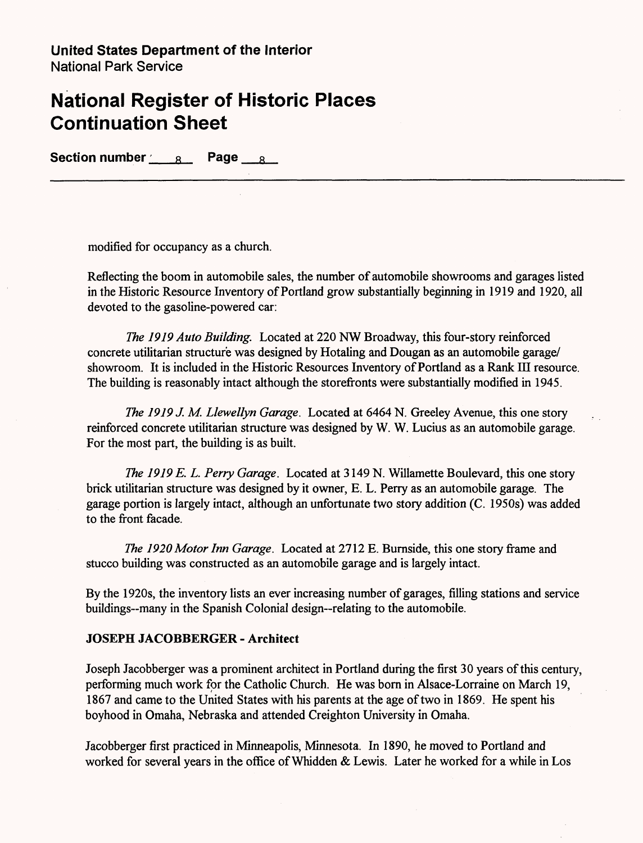**Section number 8 Page 8** 

modified for occupancy as a church.

Reflecting the boom in automobile sales, the number of automobile showrooms and garages listed in the Historic Resource Inventory of Portland grow substantially beginning in 1919 and 1920, all devoted to the gasoline-powered car:

*The 1919 Auto Building.* Located at 220 NW Broadway, this four-story reinforced concrete utilitarian structure was designed by Hotaling and Dougan as an automobile garage/ showroom. It is included in the Historic Resources Inventory of Portland as a Rank III resource. The building is reasonably intact although the storefronts were substantially modified in 1945.

*The 1919 J. M. Llewellyn Garage.* Located at 6464 N. Greeley Avenue, this one story reinforced concrete utilitarian structure was designed by W. W. Lucius as an automobile garage. For the most part, the building is as built.

*The 1919 E. L. Perry Garage.* Located at 3149 N. Willamette Boulevard, this one story brick utilitarian structure was designed by it owner, E. L. Perry as an automobile garage. The garage portion is largely intact, although an unfortunate two story addition (C. 1950s) was added to the front facade.

*The 1920 Motor Inn Garage.* Located at 2712 E. Burnside, this one story frame and stucco building was constructed as an automobile garage and is largely intact.

By the 1920s, the inventory lists an ever increasing number of garages, filling stations and service buildings—many in the Spanish Colonial design—relating to the automobile.

### **JOSEPH JACOBBERGER - Architect**

Joseph Jacobberger was a prominent architect in Portland during the first 30 years of this century, performing much work for the Catholic Church. He was born in Alsace-Lorraine on March 19, 1867 and came to the United States with his parents at the age of two in 1869. He spent his boyhood in Omaha, Nebraska and attended Creighton University in Omaha.

Jacobberger first practiced in Minneapolis, Minnesota. In 1890, he moved to Portland and worked for several years in the office of Whidden & Lewis. Later he worked for a while in Los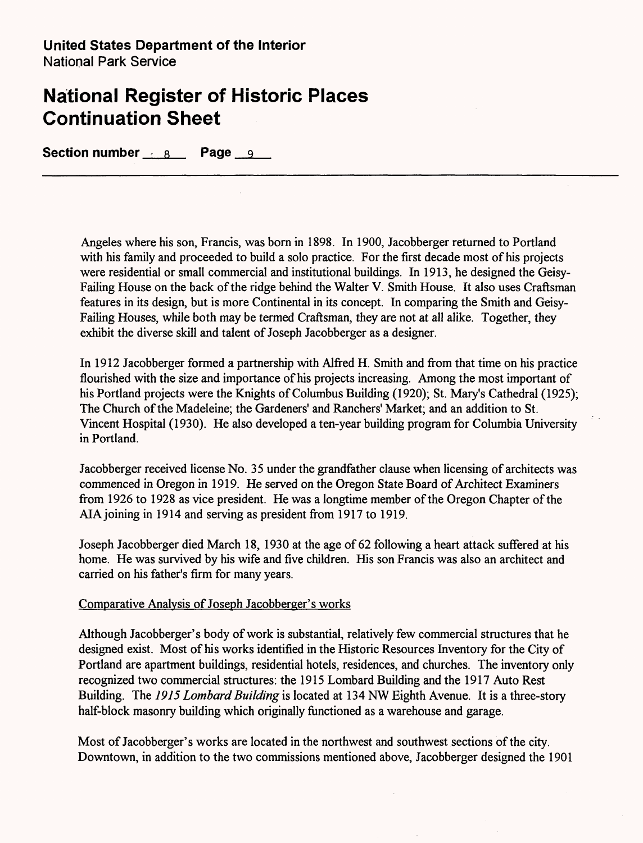**Section number** 8 **Page** 9

Angeles where his son, Francis, was born in 1898. In 1900, Jacobberger returned to Portland with his family and proceeded to build a solo practice. For the first decade most of his projects were residential or small commercial and institutional buildings. In 1913, he designed the Geisy-Failing House on the back of the ridge behind the Walter V. Smith House. It also uses Craftsman features in its design, but is more Continental in its concept. In comparing the Smith and Geisy-Failing Houses, while both may be termed Craftsman, they are not at all alike. Together, they exhibit the diverse skill and talent of Joseph Jacobberger as a designer.

In 1912 Jacobberger formed a partnership with Alfred H. Smith and from that time on his practice flourished with the size and importance of his projects increasing. Among the most important of his Portland projects were the Knights of Columbus Building (1920); St. Mary's Cathedral (1925); The Church of the Madeleine; the Gardeners' and Ranchers' Market; and an addition to St. Vincent Hospital (1930). He also developed a ten-year building program for Columbia University in Portland.

Jacobberger received license No. 35 under the grandfather clause when licensing of architects was commenced in Oregon in 1919. He served on the Oregon State Board of Architect Examiners from 1926 to 1928 as vice president. He was a longtime member of the Oregon Chapter of the AIA joining in 1914 and serving as president from 1917 to 1919.

Joseph Jacobberger died March 18, 1930 at the age of 62 following a heart attack suffered at his home. He was survived by his wife and five children. His son Francis was also an architect and carried on his father's firm for many years.

### Comparative Analysis of Joseph Jacobberger's works

Although Jacobberger's body of work is substantial, relatively few commercial structures that he designed exist. Most of his works identified in the Historic Resources Inventory for the City of Portland are apartment buildings, residential hotels, residences, and churches. The inventory only recognized two commercial structures: the 1915 Lombard Building and the 1917 Auto Rest Building. The 7975 *Lombard Building* is located at 134 NW Eighth Avenue. It is a three-story half-block masonry building which originally functioned as a warehouse and garage.

Most of Jacobberger's works are located in the northwest and southwest sections of the city. Downtown, in addition to the two commissions mentioned above, Jacobberger designed the 1901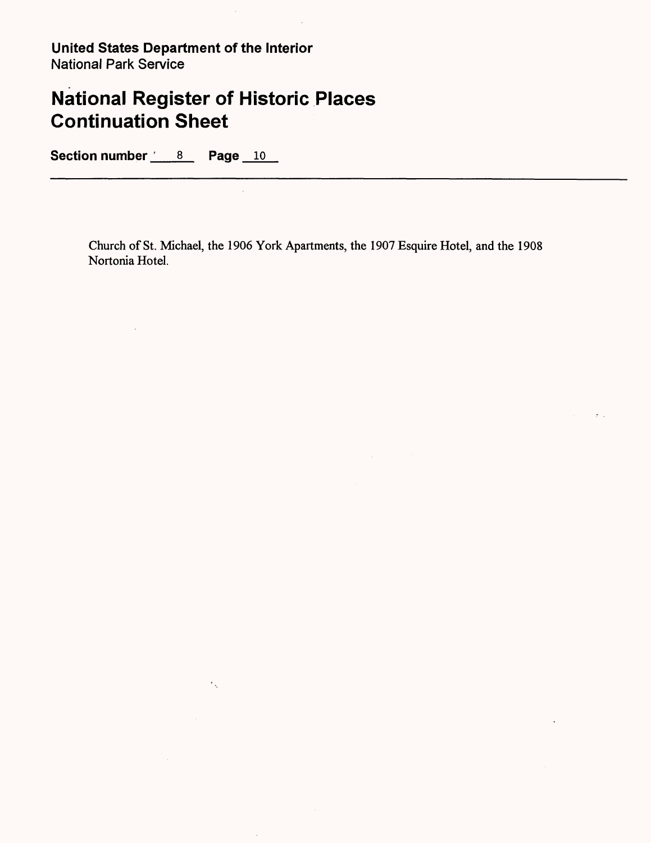# **National Register of Historic Places Continuation Sheet**

 $\epsilon_{\infty}$ 

 $\hat{\boldsymbol{\beta}}$ 

 $\frac{1}{2}$  ,  $\frac{1}{2}$ 

Section number <u>6 8</u> Page 10

<u> 1980 - Jan Barnett, mars andrew Maria Barnett, mars a</u>

Church of St. Michael, the 1906 York Apartments, the 1907 Esquire Hotel, and the 1908 Nortonia Hotel.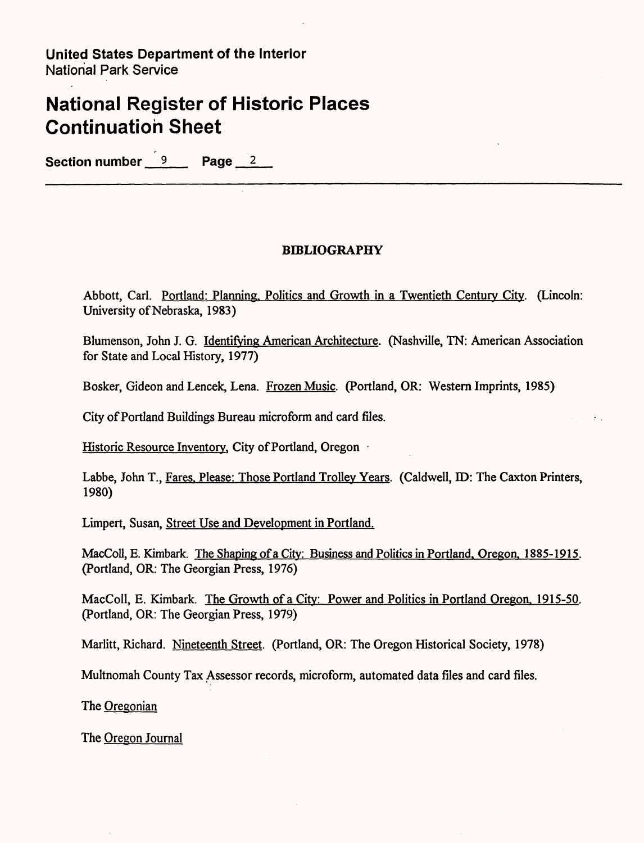## **National Register of Historic Places Continuation Sheet**

**Section number 9 Page 2** 

### **BIBLIOGRAPHY**

Abbott, Carl. Portland: Planning. Politics and Growth in a Twentieth Century City. (Lincoln: University of Nebraska, 1983)

Blumenson, John J. G. Identifying American Architecture. (Nashville, TN: American Association for State and Local History, 1977)

Bosker, Gideon and Lencek, Lena. Frozen Music. (Portland, OR: Western Imprints, 1985)

City of Portland Buildings Bureau microform and card files.

Historic Resource Inventory, City of Portland, Oregon

Labbe, John T., Fares. Please: Those Portland Trolley Years. (Caldwell, ID: The Caxton Printers, 1980)

Limpert, Susan, Street Use and Development in Portland.

MacColl, E. Kimbark. The Shaping of a City: Business and Politics in Portland. Oregon. 1885-1915. (Portland, OR: The Georgian Press, 1976)

MacColl, E. Kimbark. The Growth of a City: Power and Politics in Portland Oregon. 1915-50. (Portland, OR: The Georgian Press, 1979)

Marlitt, Richard. Nineteenth Street. (Portland, OR: The Oregon Historical Society, 1978)

Multnomah County Tax Assessor records, microform, automated data files and card files.

The Oregonian

The Oregon Journal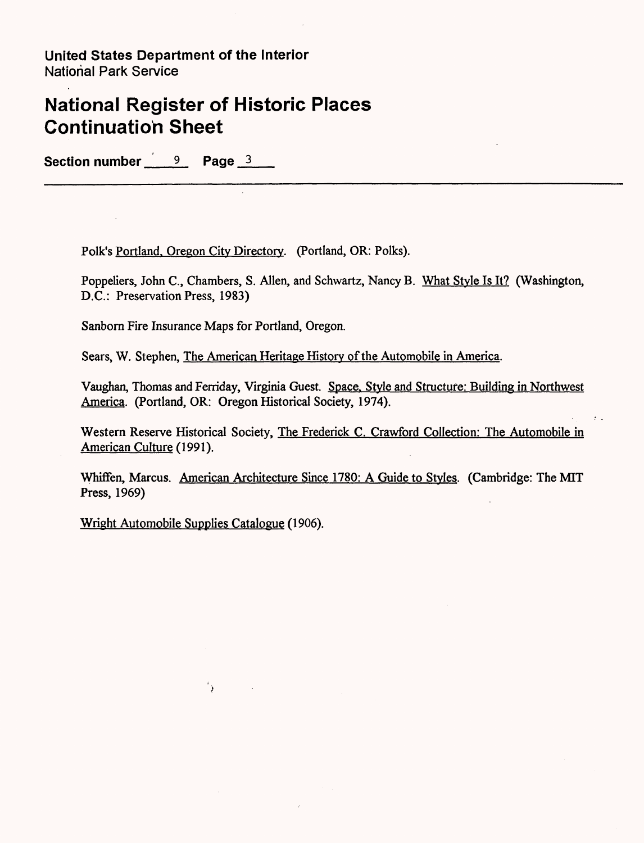## **National Register of Historic Places Continuation Sheet**

Section number <u>9</u> Page 3

Folk's Portland. Oregon City Directory. (Portland, OR: Polks).

Poppeliers, John C., Chambers, S. Alien, and Schwartz, Nancy B. What Style Is It? (Washington, D.C.: Preservation Press, 1983)

Sanborn Fire Insurance Maps for Portland, Oregon.

Sears, W. Stephen, The American Heritage History of the Automobile in America.

Vaughan, Thomas and Ferriday, Virginia Guest. Space. Style and Structure: Building in Northwest America. (Portland, OR: Oregon Historical Society, 1974).

Western Reserve Historical Society, The Frederick C. Crawford Collection: The Automobile in American Culture (1991).

Whiffen, Marcus. American Architecture Since 1780: A Guide to Styles. (Cambridge: The MIT Press, 1969)

Wright Automobile Supplies Catalogue (1906).

 $\langle \rangle$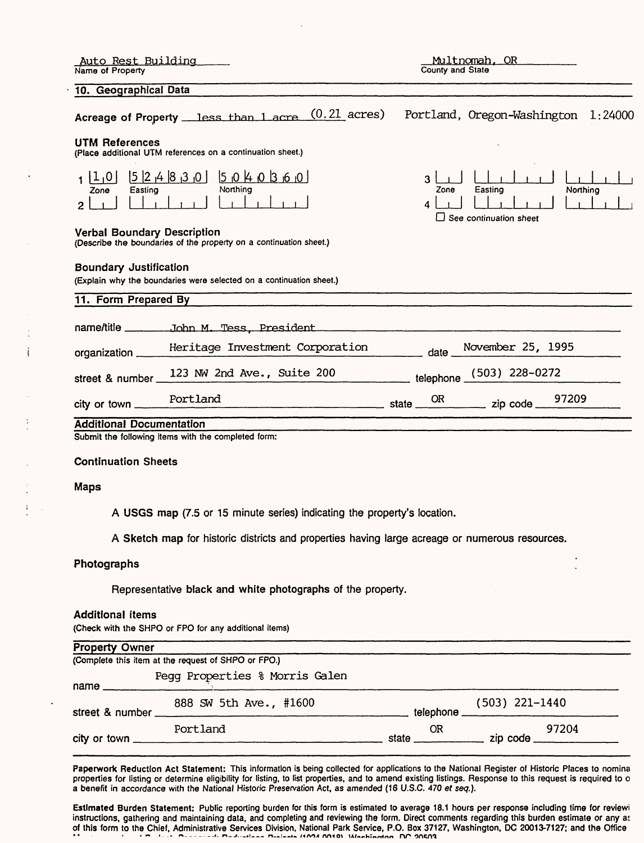| Auto Rest Building<br>Name of Property                |                                                                                                | Multnomah, OR<br>County and State                                      |
|-------------------------------------------------------|------------------------------------------------------------------------------------------------|------------------------------------------------------------------------|
| 10. Geographical Data                                 |                                                                                                |                                                                        |
|                                                       | Acreage of Property less than 1 acre (0.21 acres)                                              | Portland, Oregon-Washington 1:24000                                    |
| UTM References                                        | (Place additional UTM references on a continuation sheet.)                                     |                                                                        |
| 1 1,0 <br>Easting<br>Zone<br>2                        | [5 2 4 8 3 0]<br>040360<br><b>Northing</b>                                                     | 3<br>Easting<br>Zone<br>Northing<br>4<br>$\Box$ See continuation sheet |
| <b>Verbal Boundary Description</b>                    | (Describe the boundaries of the property on a continuation sheet.)                             |                                                                        |
| <b>Boundary Justification</b><br>11. Form Prepared By | (Explain why the boundaries were selected on a continuation sheet.)                            |                                                                        |
|                                                       |                                                                                                |                                                                        |
|                                                       |                                                                                                |                                                                        |
| organization _                                        | Heritage Investment Corporation                                                                | November 25, 1995<br>date                                              |
| street & number_                                      | 123 NW 2nd Ave., Suite 200                                                                     | telephone (503) 228-0272                                               |
| city or town _                                        | Portland<br><u>state</u> state <u>state</u>                                                    | 97209<br>OR.                                                           |
| <b>Additional Documentation</b>                       |                                                                                                |                                                                        |
|                                                       | Submit the following items with the completed form:                                            |                                                                        |
| <b>Continuation Sheets</b>                            |                                                                                                |                                                                        |
| <b>Maps</b>                                           |                                                                                                |                                                                        |
|                                                       | A USGS map (7.5 or 15 minute series) indicating the property's location.                       |                                                                        |
|                                                       | A Sketch map for historic districts and properties having large acreage or numerous resources. |                                                                        |

### Photographs

÷

 $\ddot{\cdot}$ 

Ť

Representative black and white photographs of the property.

#### Additional items

(Check with the SHPO or FPO for any additional items)

| <b>Property Owner</b>                               |                                |             |                                 |  |
|-----------------------------------------------------|--------------------------------|-------------|---------------------------------|--|
| (Complete this item at the request of SHPO or FPO.) |                                |             |                                 |  |
| $name$ $\qquad$                                     | Pegg Properties % Morris Galen |             |                                 |  |
| street & number                                     | 888 SW 5th Ave., #1600         | telephone _ | $(503)$ 221-1440                |  |
|                                                     | Portland                       | 0R<br>state | 97204<br>zip code $\frac{1}{2}$ |  |

Paperwork Reduction Act Statement: This information is being collected for applications to the National Register of Historic Places to nomine properties for listing or determine eligibility for listing, to list properties, and to amend existing listings. Response to this request is required to o a benefit in accordance with the National Historic Preservation Act, as amended (16 U.S.C. 470 ef seq.).

Estimated Burden Statement: Public reporting burden for this form is estimated to average 18.1 hours per response including time for reviewi instructions, gathering and maintaining data, and completing and reviewing the form. Direct comments regarding this burden estimate or any ai of this form to the Chief, Administrative Services Division, National Park Service, P.O. Box 37127, Washington, DC 20013-7127; and the Office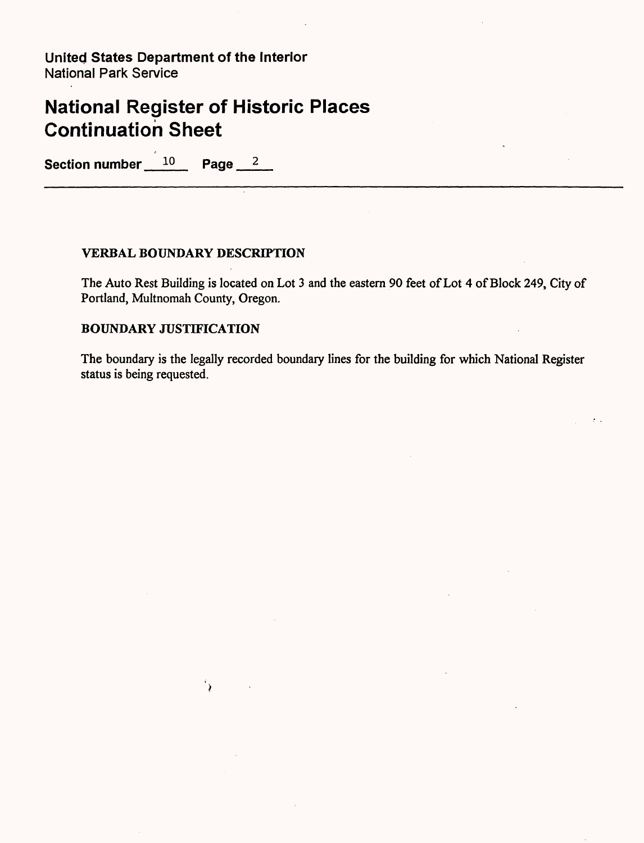## **National Register of Historic Places Continuation Sheet**

Section number 10 Page 2

### **VERBAL BOUNDARY DESCRIPTION**

'∢

The Auto Rest Building is located on Lot 3 and the eastern 90 feet of Lot 4 of Block 249, City of Portland, Multnomah County, Oregon.

### **BOUNDARY JUSTIFICATION**

The boundary is the legally recorded boundary lines for the building for which National Register status is being requested.

 $\mathcal{F}$  .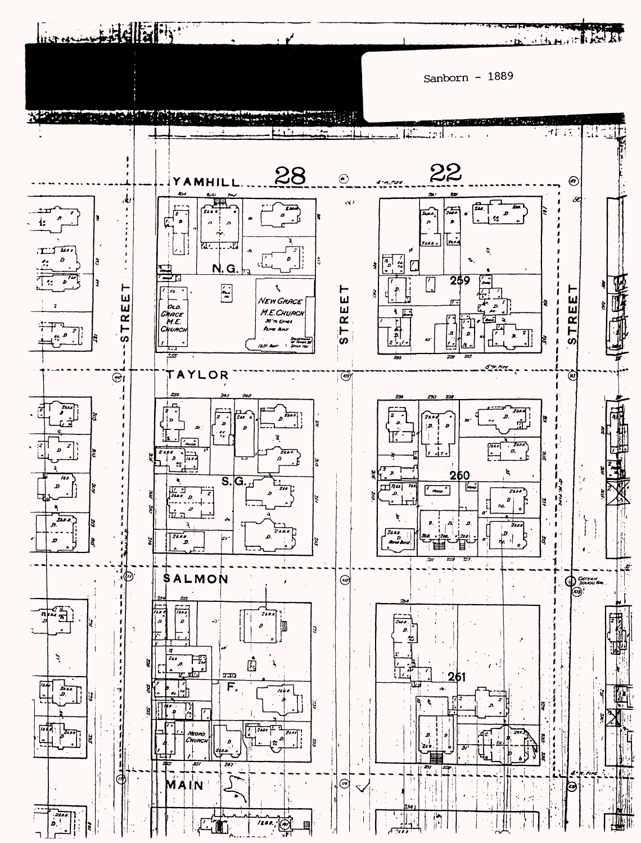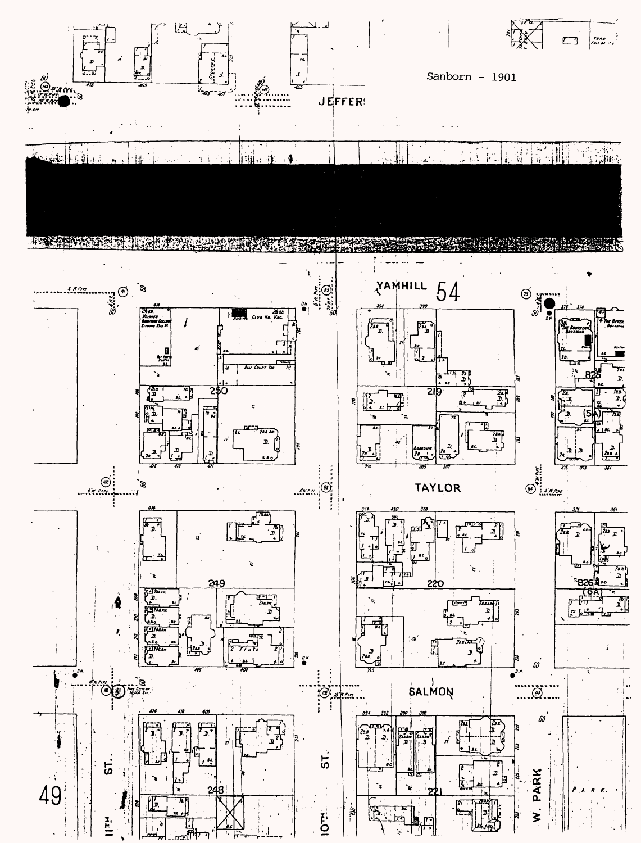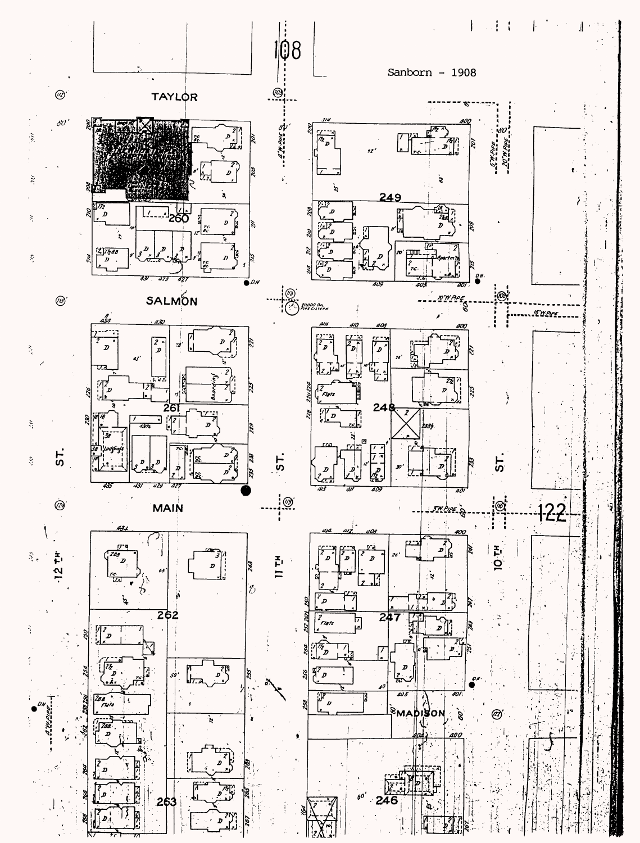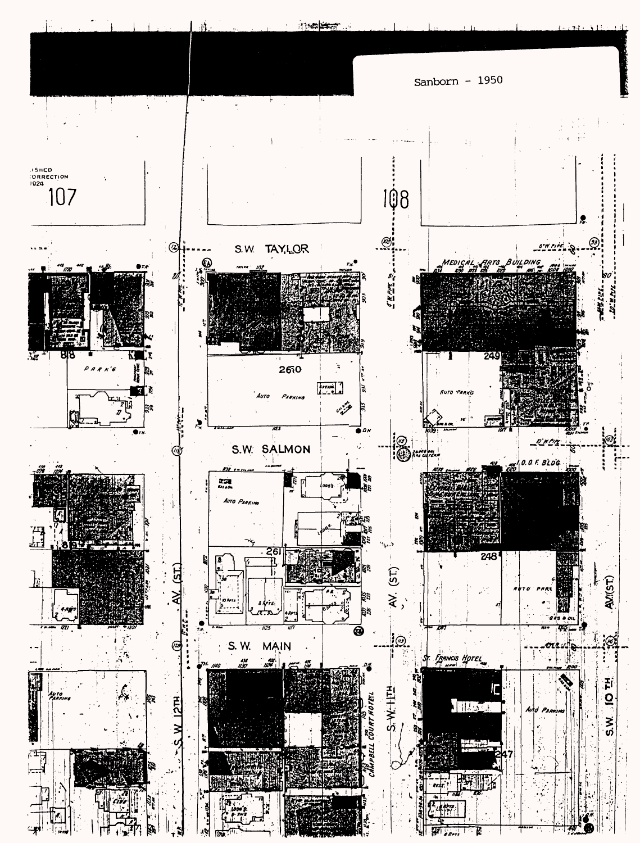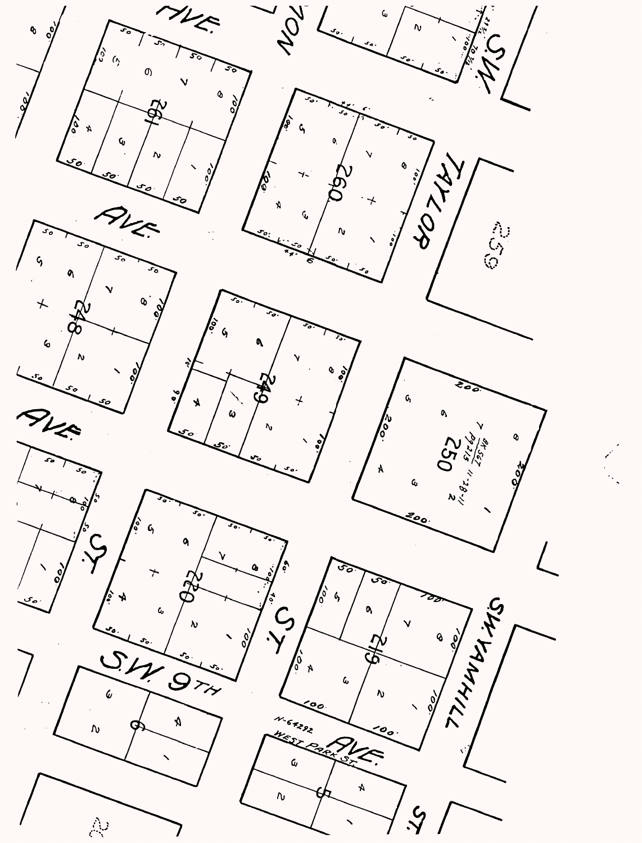